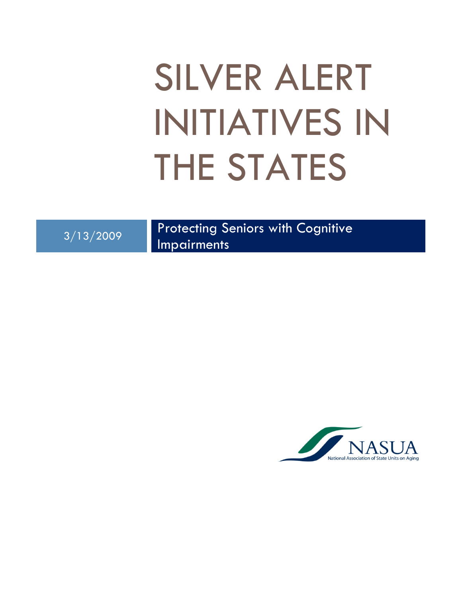# SILVER ALERT INITIATIVES IN THE STATES

3/13/2009 Protecting Seniors with Cognitive Impairments

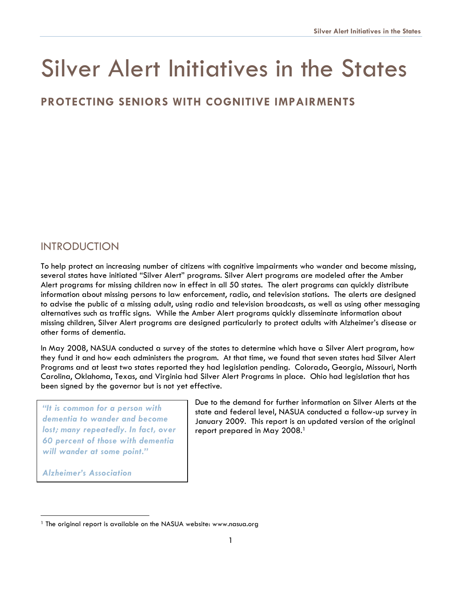# Silver Alert Initiatives in the States

# PROTECTING SENIORS WITH COGNITIVE IMPAIRMENTS

# INTRODUCTION

To help protect an increasing number of citizens with cognitive impairments who wander and become missing, several states have initiated "Silver Alert" programs. Silver Alert programs are modeled after the Amber Alert programs for missing children now in effect in all 50 states. The alert programs can quickly distribute information about missing persons to law enforcement, radio, and television stations. The alerts are designed to advise the public of a missing adult, using radio and television broadcasts, as well as using other messaging alternatives such as traffic signs. While the Amber Alert programs quickly disseminate information about missing children, Silver Alert programs are designed particularly to protect adults with Alzheimer's disease or other forms of dementia.

In May 2008, NASUA conducted a survey of the states to determine which have a Silver Alert program, how they fund it and how each administers the program. At that time, we found that seven states had Silver Alert Programs and at least two states reported they had legislation pending. Colorado, Georgia, Missouri, North Carolina, Oklahoma, Texas, and Virginia had Silver Alert Programs in place. Ohio had legislation that has been signed by the governor but is not yet effective.

"It is common for a person with dementia to wander and become lost; many repeatedly. In fact, over 60 percent of those with dementia will wander at some point."

Alzheimer's Association

l

Due to the demand for further information on Silver Alerts at the state and federal level, NASUA conducted a follow-up survey in January 2009. This report is an updated version of the original report prepared in May 2008.<sup>1</sup>

<sup>&</sup>lt;sup>1</sup> The original report is available on the NASUA website: www.nasua.org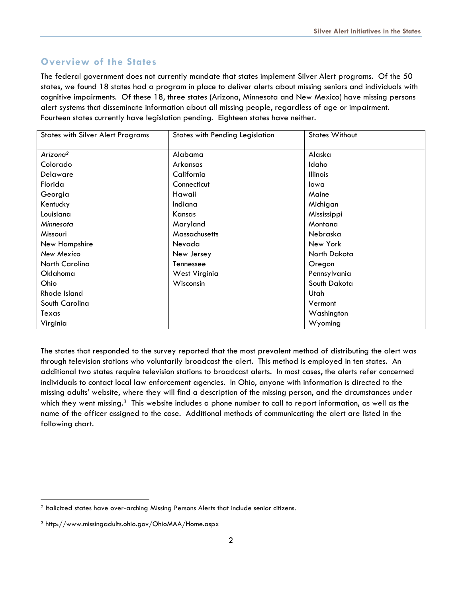# Overview of the States

The federal government does not currently mandate that states implement Silver Alert programs. Of the 50 states, we found 18 states had a program in place to deliver alerts about missing seniors and individuals with cognitive impairments. Of these 18, three states (Arizona, Minnesota and New Mexico) have missing persons alert systems that disseminate information about all missing people, regardless of age or impairment. Fourteen states currently have legislation pending. Eighteen states have neither.

| <b>States with Silver Alert Programs</b> | <b>States with Pending Legislation</b> | <b>States Without</b> |
|------------------------------------------|----------------------------------------|-----------------------|
|                                          |                                        |                       |
| Arizona <sup>2</sup>                     | Alabama                                | Alaska                |
| Colorado                                 | Arkansas                               | Idaho                 |
| Delaware                                 | California                             | <b>Illinois</b>       |
| Florida                                  | Connecticut                            | lowa                  |
| Georgia                                  | Hawaii                                 | Maine                 |
| Kentucky                                 | Indiana                                | Michigan              |
| Louisiana                                | Kansas                                 | Mississippi           |
| Minnesota                                | Maryland                               | Montana               |
| Missouri                                 | Massachusetts                          | Nebraska              |
| New Hampshire                            | Nevada                                 | New York              |
| New Mexico                               | New Jersey                             | North Dakota          |
| North Carolina                           | Tennessee                              | Oregon                |
| Oklahoma                                 | West Virginia                          | Pennsylvania          |
| Ohio                                     | Wisconsin                              | South Dakota          |
| Rhode Island                             |                                        | Utah                  |
| South Carolina                           |                                        | Vermont               |
| Texas                                    |                                        | Washington            |
| Virginia                                 |                                        | Wyoming               |

The states that responded to the survey reported that the most prevalent method of distributing the alert was through television stations who voluntarily broadcast the alert. This method is employed in ten states. An additional two states require television stations to broadcast alerts. In most cases, the alerts refer concerned individuals to contact local law enforcement agencies. In Ohio, anyone with information is directed to the missing adults' website, where they will find a description of the missing person, and the circumstances under which they went missing.<sup>3</sup> This website includes a phone number to call to report information, as well as the name of the officer assigned to the case. Additional methods of communicating the alert are listed in the following chart.

-

<sup>2</sup> Italicized states have over-arching Missing Persons Alerts that include senior citizens.

<sup>3</sup> http://www.missingadults.ohio.gov/OhioMAA/Home.aspx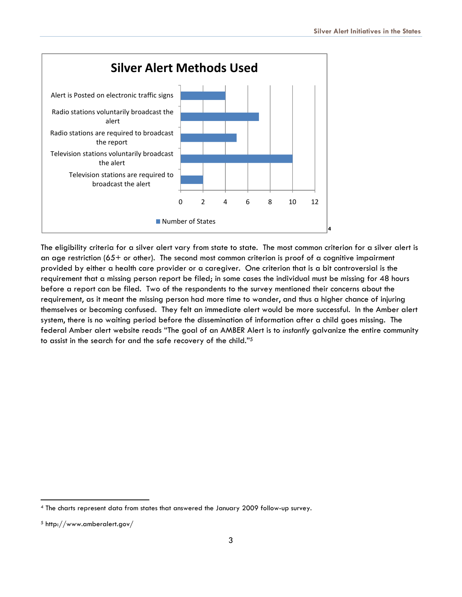

The eligibility criteria for a silver alert vary from state to state. The most common criterion for a silver alert is an age restriction (65+ or other). The second most common criterion is proof of a cognitive impairment provided by either a health care provider or a caregiver. One criterion that is a bit controversial is the requirement that a missing person report be filed; in some cases the individual must be missing for 48 hours before a report can be filed. Two of the respondents to the survey mentioned their concerns about the requirement, as it meant the missing person had more time to wander, and thus a higher chance of injuring themselves or becoming confused. They felt an immediate alert would be more successful. In the Amber alert system, there is no waiting period before the dissemination of information after a child goes missing. The federal Amber alert website reads "The goal of an AMBER Alert is to instantly galvanize the entire community to assist in the search for and the safe recovery of the child."<sup>5</sup>

-

<sup>4</sup> The charts represent data from states that answered the January 2009 follow-up survey.

<sup>5</sup> http://www.amberalert.gov/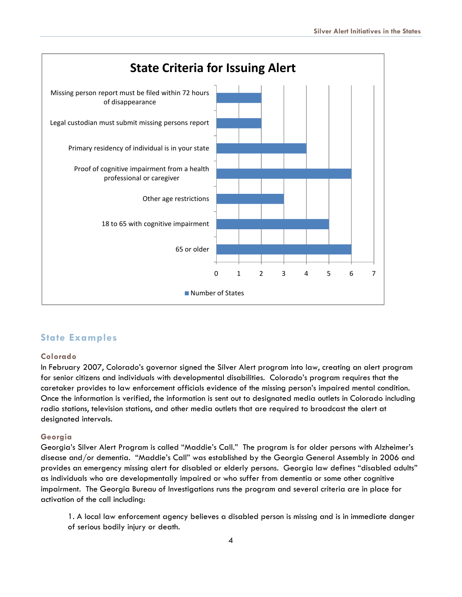

# State Examples

#### Colorado

In February 2007, Colorado's governor signed the Silver Alert program into law, creating an alert program for senior citizens and individuals with developmental disabilities. Colorado's program requires that the caretaker provides to law enforcement officials evidence of the missing person's impaired mental condition. Once the information is verified, the information is sent out to designated media outlets in Colorado including radio stations, television stations, and other media outlets that are required to broadcast the alert at designated intervals.

#### Georgia

Georgia's Silver Alert Program is called "Maddie's Call." The program is for older persons with Alzheimer's disease and/or dementia. "Maddie's Call" was established by the Georgia General Assembly in 2006 and provides an emergency missing alert for disabled or elderly persons. Georgia law defines "disabled adults" as individuals who are developmentally impaired or who suffer from dementia or some other cognitive impairment. The Georgia Bureau of Investigations runs the program and several criteria are in place for activation of the call including:

1. A local law enforcement agency believes a disabled person is missing and is in immediate danger of serious bodily injury or death.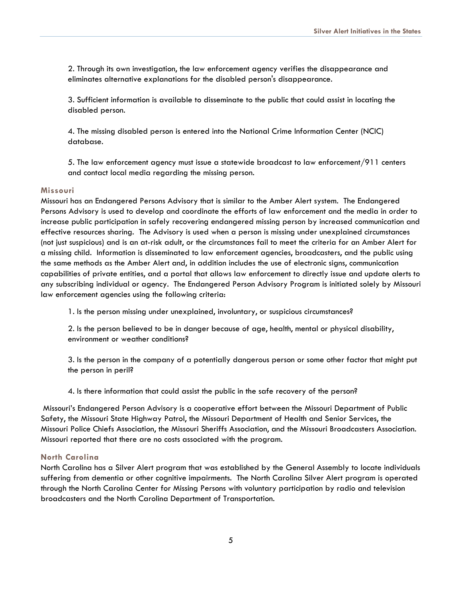2. Through its own investigation, the law enforcement agency verifies the disappearance and eliminates alternative explanations for the disabled person's disappearance.

3. Sufficient information is available to disseminate to the public that could assist in locating the disabled person.

4. The missing disabled person is entered into the National Crime Information Center (NCIC) database.

5. The law enforcement agency must issue a statewide broadcast to law enforcement/911 centers and contact local media regarding the missing person.

#### Missouri

Missouri has an Endangered Persons Advisory that is similar to the Amber Alert system. The Endangered Persons Advisory is used to develop and coordinate the efforts of law enforcement and the media in order to increase public participation in safely recovering endangered missing person by increased communication and effective resources sharing. The Advisory is used when a person is missing under unexplained circumstances (not just suspicious) and is an at-risk adult, or the circumstances fail to meet the criteria for an Amber Alert for a missing child. Information is disseminated to law enforcement agencies, broadcasters, and the public using the same methods as the Amber Alert and, in addition includes the use of electronic signs, communication capabilities of private entities, and a portal that allows law enforcement to directly issue and update alerts to any subscribing individual or agency. The Endangered Person Advisory Program is initiated solely by Missouri law enforcement agencies using the following criteria:

1. Is the person missing under unexplained, involuntary, or suspicious circumstances?

2. Is the person believed to be in danger because of age, health, mental or physical disability, environment or weather conditions?

3. Is the person in the company of a potentially dangerous person or some other factor that might put the person in peril?

4. Is there information that could assist the public in the safe recovery of the person?

 Missouri's Endangered Person Advisory is a cooperative effort between the Missouri Department of Public Safety, the Missouri State Highway Patrol, the Missouri Department of Health and Senior Services, the Missouri Police Chiefs Association, the Missouri Sheriffs Association, and the Missouri Broadcasters Association. Missouri reported that there are no costs associated with the program.

#### North Carolina

North Carolina has a Silver Alert program that was established by the General Assembly to locate individuals suffering from dementia or other cognitive impairments. The North Carolina Silver Alert program is operated through the North Carolina Center for Missing Persons with voluntary participation by radio and television broadcasters and the North Carolina Department of Transportation.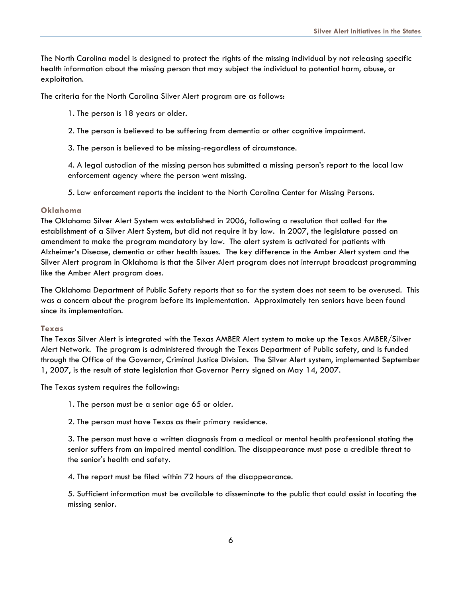The North Carolina model is designed to protect the rights of the missing individual by not releasing specific health information about the missing person that may subject the individual to potential harm, abuse, or exploitation.

The criteria for the North Carolina Silver Alert program are as follows:

1. The person is 18 years or older.

- 2. The person is believed to be suffering from dementia or other cognitive impairment.
- 3. The person is believed to be missing-regardless of circumstance.

4. A legal custodian of the missing person has submitted a missing person's report to the local law enforcement agency where the person went missing.

5. Law enforcement reports the incident to the North Carolina Center for Missing Persons.

#### Oklahoma

The Oklahoma Silver Alert System was established in 2006, following a resolution that called for the establishment of a Silver Alert System, but did not require it by law. In 2007, the legislature passed an amendment to make the program mandatory by law. The alert system is activated for patients with Alzheimer's Disease, dementia or other health issues. The key difference in the Amber Alert system and the Silver Alert program in Oklahoma is that the Silver Alert program does not interrupt broadcast programming like the Amber Alert program does.

The Oklahoma Department of Public Safety reports that so far the system does not seem to be overused. This was a concern about the program before its implementation. Approximately ten seniors have been found since its implementation.

#### Texas

The Texas Silver Alert is integrated with the Texas AMBER Alert system to make up the Texas AMBER/Silver Alert Network. The program is administered through the Texas Department of Public safety, and is funded through the Office of the Governor, Criminal Justice Division. The Silver Alert system, implemented September 1, 2007, is the result of state legislation that Governor Perry signed on May 14, 2007.

The Texas system requires the following:

- 1. The person must be a senior age 65 or older.
- 2. The person must have Texas as their primary residence.

3. The person must have a written diagnosis from a medical or mental health professional stating the senior suffers from an impaired mental condition. The disappearance must pose a credible threat to the senior's health and safety.

4. The report must be filed within 72 hours of the disappearance.

5. Sufficient information must be available to disseminate to the public that could assist in locating the missing senior.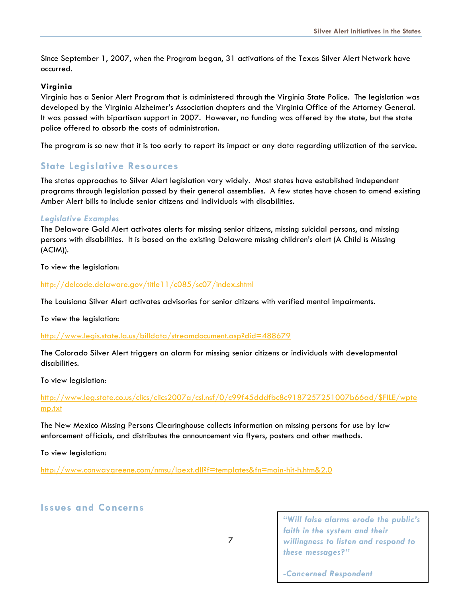Since September 1, 2007, when the Program began, 31 activations of the Texas Silver Alert Network have occurred.

#### Virginia

Virginia has a Senior Alert Program that is administered through the Virginia State Police. The legislation was developed by the Virginia Alzheimer's Association chapters and the Virginia Office of the Attorney General. It was passed with bipartisan support in 2007. However, no funding was offered by the state, but the state police offered to absorb the costs of administration.

The program is so new that it is too early to report its impact or any data regarding utilization of the service.

# State Legislative Resources

The states approaches to Silver Alert legislation vary widely. Most states have established independent programs through legislation passed by their general assemblies. A few states have chosen to amend existing Amber Alert bills to include senior citizens and individuals with disabilities.

#### Legislative Examples

The Delaware Gold Alert activates alerts for missing senior citizens, missing suicidal persons, and missing persons with disabilities. It is based on the existing Delaware missing children's alert (A Child is Missing (ACIM)).

To view the legislation:

http://delcode.delaware.gov/title11/c085/sc07/index.shtml

The Louisiana Silver Alert activates advisories for senior citizens with verified mental impairments.

To view the legislation:

http://www.legis.state.la.us/billdata/streamdocument.asp?did=488679

The Colorado Silver Alert triggers an alarm for missing senior citizens or individuals with developmental disabilities.

To view legislation:

http://www.leg.state.co.us/clics/clics2007a/csl.nsf/0/c99f45dddfbc8c9187257251007b66ad/\$FILE/wpte mp.txt

The New Mexico Missing Persons Clearinghouse collects information on missing persons for use by law enforcement officials, and distributes the announcement via flyers, posters and other methods.

To view legislation:

http://www.conwaygreene.com/nmsu/lpext.dll?f=templates&fn=main-hit-h.htm&2.0

# Issues and Concerns

"Will false alarms erode the public's faith in the system and their willingness to listen and respond to these messages?"

-Concerned Respondent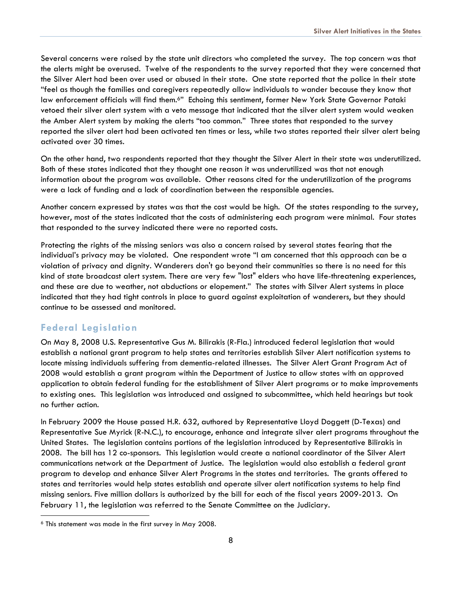Several concerns were raised by the state unit directors who completed the survey. The top concern was that the alerts might be overused. Twelve of the respondents to the survey reported that they were concerned that the Silver Alert had been over used or abused in their state. One state reported that the police in their state "feel as though the families and caregivers repeatedly allow individuals to wander because they know that law enforcement officials will find them.<sup>6"</sup> Echoing this sentiment, former New York State Governor Pataki vetoed their silver alert system with a veto message that indicated that the silver alert system would weaken the Amber Alert system by making the alerts "too common." Three states that responded to the survey reported the silver alert had been activated ten times or less, while two states reported their silver alert being activated over 30 times.

On the other hand, two respondents reported that they thought the Silver Alert in their state was underutilized. Both of these states indicated that they thought one reason it was underutilized was that not enough information about the program was available. Other reasons cited for the underutilization of the programs were a lack of funding and a lack of coordination between the responsible agencies.

Another concern expressed by states was that the cost would be high. Of the states responding to the survey, however, most of the states indicated that the costs of administering each program were minimal. Four states that responded to the survey indicated there were no reported costs.

Protecting the rights of the missing seniors was also a concern raised by several states fearing that the individual's privacy may be violated. One respondent wrote "I am concerned that this approach can be a violation of privacy and dignity. Wanderers don't go beyond their communities so there is no need for this kind of state broadcast alert system. There are very few "lost" elders who have life-threatening experiences, and these are due to weather, not abductions or elopement." The states with Silver Alert systems in place indicated that they had tight controls in place to guard against exploitation of wanderers, but they should continue to be assessed and monitored.

#### Federal Legislation

l

On May 8, 2008 U.S. Representative Gus M. Bilirakis (R-Fla.) introduced federal legislation that would establish a national grant program to help states and territories establish Silver Alert notification systems to locate missing individuals suffering from dementia-related illnesses. The Silver Alert Grant Program Act of 2008 would establish a grant program within the Department of Justice to allow states with an approved application to obtain federal funding for the establishment of Silver Alert programs or to make improvements to existing ones. This legislation was introduced and assigned to subcommittee, which held hearings but took no further action.

In February 2009 the House passed H.R. 632, authored by Representative Lloyd Doggett (D-Texas) and Representative Sue Myrick (R-N.C.), to encourage, enhance and integrate silver alert programs throughout the United States. The legislation contains portions of the legislation introduced by Representative Bilirakis in 2008. The bill has 12 co-sponsors. This legislation would create a national coordinator of the Silver Alert communications network at the Department of Justice. The legislation would also establish a federal grant program to develop and enhance Silver Alert Programs in the states and territories. The grants offered to states and territories would help states establish and operate silver alert notification systems to help find missing seniors. Five million dollars is authorized by the bill for each of the fiscal years 2009-2013. On February 11, the legislation was referred to the Senate Committee on the Judiciary.

<sup>6</sup> This statement was made in the first survey in May 2008.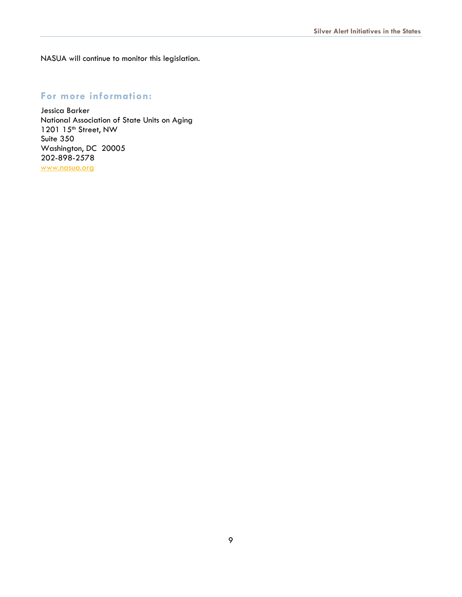NASUA will continue to monitor this legislation.

# For more information:

Jessica Barker National Association of State Units on Aging 1201 15<sup>th</sup> Street, NW Suite 350 Washington, DC 20005 202-898-2578 www.nasua.org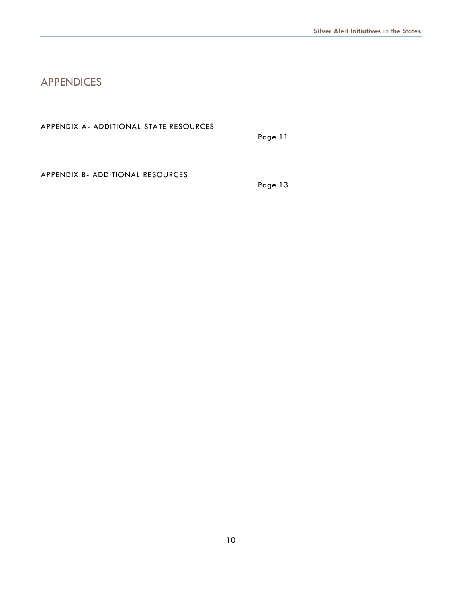# APPENDICES

APPENDIX A- ADDITIONAL STATE RESOURCES

Page 11

APPENDIX B- ADDITIONAL RESOURCES

Page 13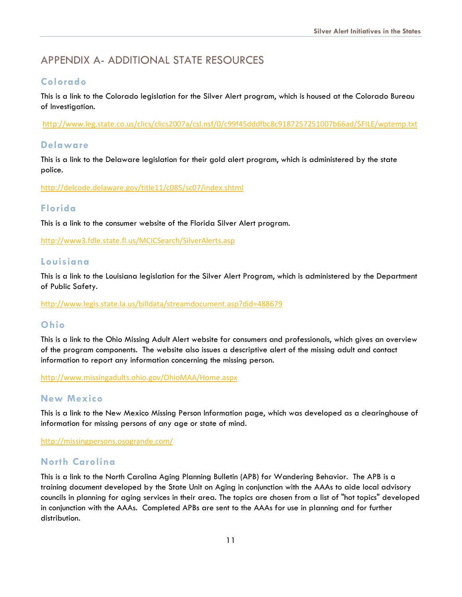# APPENDIX A- ADDITIONAL STATE RESOURCES

# Colorado

This is a link to the Colorado legislation for the Silver Alert program, which is housed at the Colorado Bureau of Investigation.

http://www.leg.state.co.us/clics/clics2007a/csl.nsf/0/c99f45dddfbc8c9187257251007b66ad/\$FILE/wptemp.txt

# **Delaware**

This is a link to the Delaware legislation for their gold alert program, which is administered by the state police.

http://delcode.delaware.gov/title11/c085/sc07/index.shtml

# Florida

This is a link to the consumer website of the Florida Silver Alert program.

http://www3.fdle.state.fl.us/MCICSearch/SilverAlerts.asp

# Louisiana

This is a link to the Louisiana legislation for the Silver Alert Program, which is administered by the Department of Public Safety.

http://www.legis.state.la.us/billdata/streamdocument.asp?did=488679

# Ohio

This is a link to the Ohio Missing Adult Alert website for consumers and professionals, which gives an overview of the program components. The website also issues a descriptive alert of the missing adult and contact information to report any information concerning the missing person.

http://www.missingadults.ohio.gov/OhioMAA/Home.aspx

#### New Mexico

This is a link to the New Mexico Missing Person Information page, which was developed as a clearinghouse of information for missing persons of any age or state of mind.

http://missingpersons.osogrande.com/

#### North Carolina

This is a link to the North Carolina Aging Planning Bulletin (APB) for Wandering Behavior. The APB is a training document developed by the State Unit on Aging in conjunction with the AAAs to aide local advisory councils in planning for aging services in their area. The topics are chosen from a list of "hot topics" developed in conjunction with the AAAs. Completed APBs are sent to the AAAs for use in planning and for further distribution.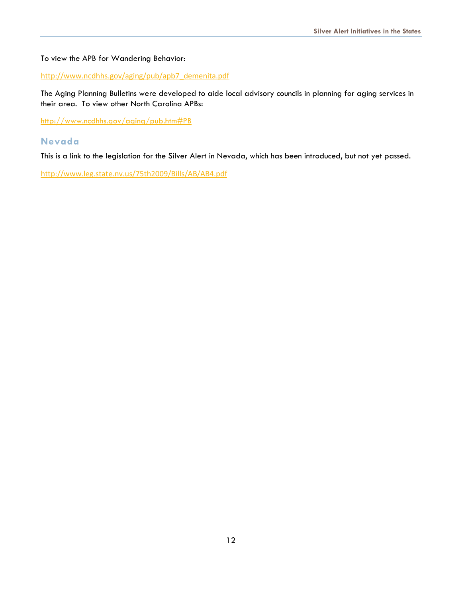To view the APB for Wandering Behavior:

http://www.ncdhhs.gov/aging/pub/apb7\_demenita.pdf

The Aging Planning Bulletins were developed to aide local advisory councils in planning for aging services in their area. To view other North Carolina APBs:

http://www.ncdhhs.gov/aging/pub.htm#PB

#### Nevada

This is a link to the legislation for the Silver Alert in Nevada, which has been introduced, but not yet passed.

http://www.leg.state.nv.us/75th2009/Bills/AB/AB4.pdf